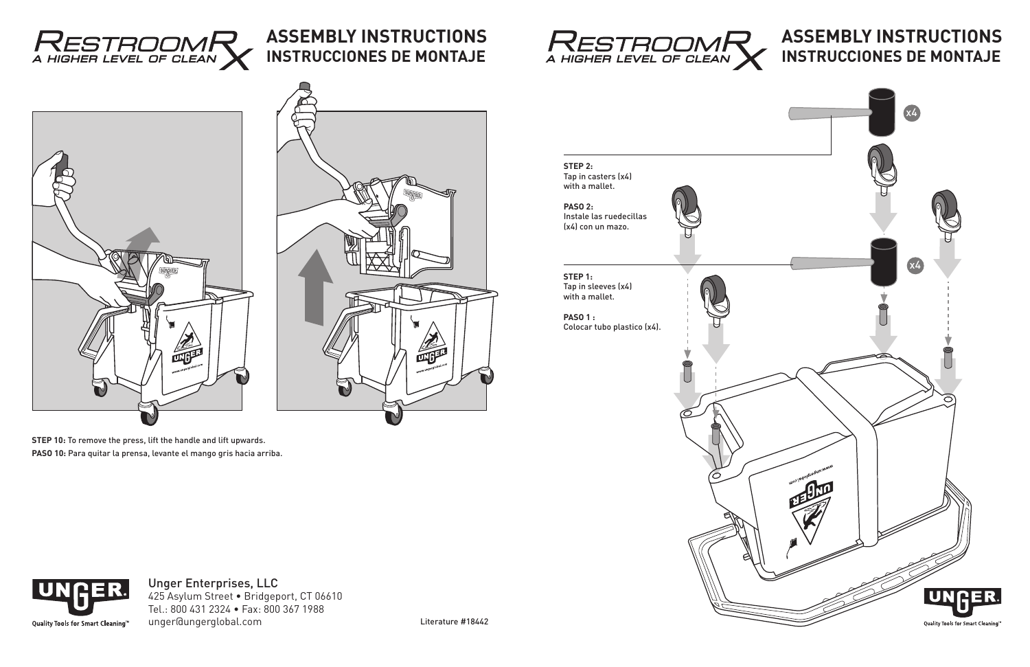

**STEP 1:** Tap in sleeves (x4) with a mallet.

**PASO 1 :** Colocar tubo plastico (x4).



**STEP 2:** Tap in casters (x4) with a mallet.

**PASO 2:**  Instale las ruedecillas (x4) con un mazo.



Literature #18442

# **ASSEMBLY INSTRUCTIONS INSTRUCCIONES DE MONTAJE**

#### Unger Enterprises, LLC 425 Asylum Street • Bridgeport, CT 06610 Tel.: 800 431 2324 • Fax: 800 367 1988 unger@ungerglobal.com



**STEP 10:** To remove the press, lift the handle and lift upwards. **PASO 10:** Para quitar la prensa, levante el mango gris hacia arriba.





### **ASSEMBLY INSTRUCTIONS INSTRUCCIONES DE MONTAJE**